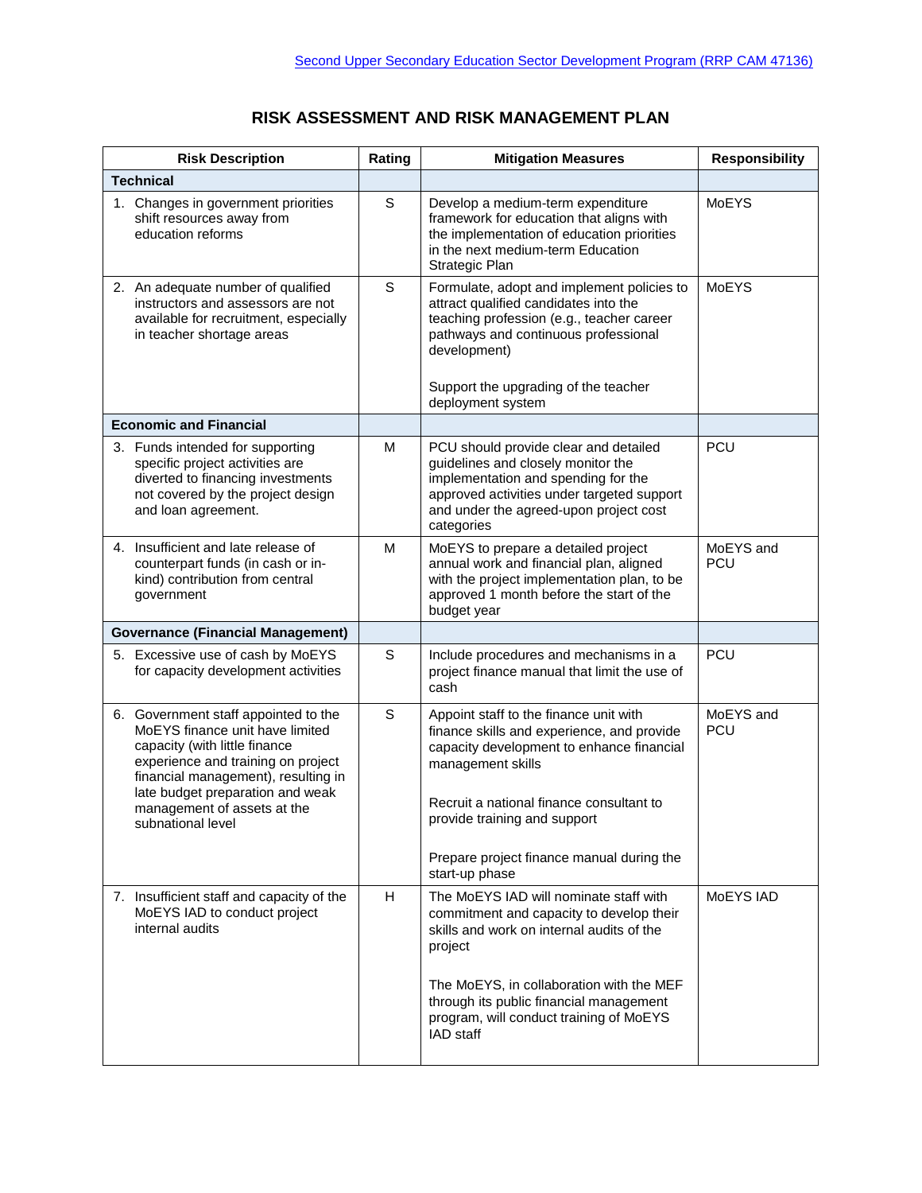## **RISK ASSESSMENT AND RISK MANAGEMENT PLAN**

| <b>Risk Description</b>                                                                                                                                                                                                                                                       | Rating | <b>Mitigation Measures</b>                                                                                                                                                                                                                                                                        | <b>Responsibility</b>   |
|-------------------------------------------------------------------------------------------------------------------------------------------------------------------------------------------------------------------------------------------------------------------------------|--------|---------------------------------------------------------------------------------------------------------------------------------------------------------------------------------------------------------------------------------------------------------------------------------------------------|-------------------------|
| <b>Technical</b>                                                                                                                                                                                                                                                              |        |                                                                                                                                                                                                                                                                                                   |                         |
| 1. Changes in government priorities<br>shift resources away from<br>education reforms                                                                                                                                                                                         | S      | Develop a medium-term expenditure<br>framework for education that aligns with<br>the implementation of education priorities<br>in the next medium-term Education<br>Strategic Plan                                                                                                                | <b>MoEYS</b>            |
| 2. An adequate number of qualified<br>instructors and assessors are not<br>available for recruitment, especially<br>in teacher shortage areas                                                                                                                                 | S      | Formulate, adopt and implement policies to<br>attract qualified candidates into the<br>teaching profession (e.g., teacher career<br>pathways and continuous professional<br>development)<br>Support the upgrading of the teacher<br>deployment system                                             | <b>MoEYS</b>            |
| <b>Economic and Financial</b>                                                                                                                                                                                                                                                 |        |                                                                                                                                                                                                                                                                                                   |                         |
| 3. Funds intended for supporting<br>specific project activities are<br>diverted to financing investments<br>not covered by the project design<br>and loan agreement.                                                                                                          | М      | PCU should provide clear and detailed<br>guidelines and closely monitor the<br>implementation and spending for the<br>approved activities under targeted support<br>and under the agreed-upon project cost<br>categories                                                                          | PCU                     |
| 4. Insufficient and late release of<br>counterpart funds (in cash or in-<br>kind) contribution from central<br>government                                                                                                                                                     | М      | MoEYS to prepare a detailed project<br>annual work and financial plan, aligned<br>with the project implementation plan, to be<br>approved 1 month before the start of the<br>budget year                                                                                                          | MoEYS and<br><b>PCU</b> |
| <b>Governance (Financial Management)</b>                                                                                                                                                                                                                                      |        |                                                                                                                                                                                                                                                                                                   |                         |
| 5. Excessive use of cash by MoEYS<br>for capacity development activities                                                                                                                                                                                                      | S      | Include procedures and mechanisms in a<br>project finance manual that limit the use of<br>cash                                                                                                                                                                                                    | <b>PCU</b>              |
| 6. Government staff appointed to the<br>MoEYS finance unit have limited<br>capacity (with little finance<br>experience and training on project<br>financial management), resulting in<br>late budget preparation and weak<br>management of assets at the<br>subnational level | S      | Appoint staff to the finance unit with<br>finance skills and experience, and provide<br>capacity development to enhance financial<br>management skills<br>Recruit a national finance consultant to<br>provide training and support<br>Prepare project finance manual during the<br>start-up phase | MoEYS and<br><b>PCU</b> |
| 7. Insufficient staff and capacity of the<br>MoEYS IAD to conduct project<br>internal audits                                                                                                                                                                                  | H      | The MoEYS IAD will nominate staff with<br>commitment and capacity to develop their<br>skills and work on internal audits of the<br>project<br>The MoEYS, in collaboration with the MEF<br>through its public financial management<br>program, will conduct training of MoEYS<br>IAD staff         | MoEYS IAD               |